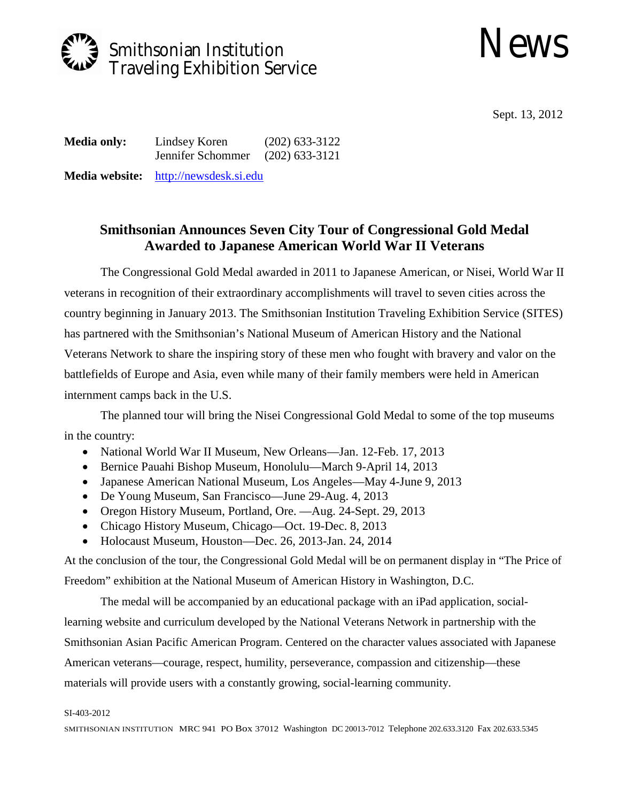

## News

Sept. 13, 2012

**Media only:** Lindsey Koren (202) 633-3122 Jennifer Schommer (202) 633-3121

**Media website:** [http://newsdesk.si.edu](http://newsdesk.si.edu/)

## **Smithsonian Announces Seven City Tour of Congressional Gold Medal Awarded to Japanese American World War II Veterans**

The Congressional Gold Medal awarded in 2011 to Japanese American, or Nisei, World War II veterans in recognition of their extraordinary accomplishments will travel to seven cities across the country beginning in January 2013. The Smithsonian Institution Traveling Exhibition Service (SITES) has partnered with the Smithsonian's National Museum of American History and the National Veterans Network to share the inspiring story of these men who fought with bravery and valor on the battlefields of Europe and Asia, even while many of their family members were held in American internment camps back in the U.S.

The planned tour will bring the Nisei Congressional Gold Medal to some of the top museums in the country:

- National World War II Museum, New Orleans—Jan. 12-Feb. 17, 2013
- Bernice Pauahi Bishop Museum, Honolulu—March 9-April 14, 2013
- Japanese American National Museum, Los Angeles—May 4-June 9, 2013
- De Young Museum, San Francisco—June 29-Aug. 4, 2013
- Oregon History Museum, Portland, Ore. —Aug. 24-Sept. 29, 2013
- Chicago History Museum, Chicago—Oct. 19-Dec. 8, 2013
- Holocaust Museum, Houston—Dec. 26, 2013-Jan. 24, 2014

At the conclusion of the tour, the Congressional Gold Medal will be on permanent display in "The Price of Freedom" exhibition at the National Museum of American History in Washington, D.C.

The medal will be accompanied by an educational package with an iPad application, sociallearning website and curriculum developed by the National Veterans Network in partnership with the Smithsonian Asian Pacific American Program. Centered on the character values associated with Japanese American veterans—courage, respect, humility, perseverance, compassion and citizenship—these materials will provide users with a constantly growing, social-learning community.

## SI-403-2012

SMITHSONIAN INSTITUTION MRC 941 PO Box 37012 Washington DC 20013-7012 Telephone 202.633.3120 Fax 202.633.5345